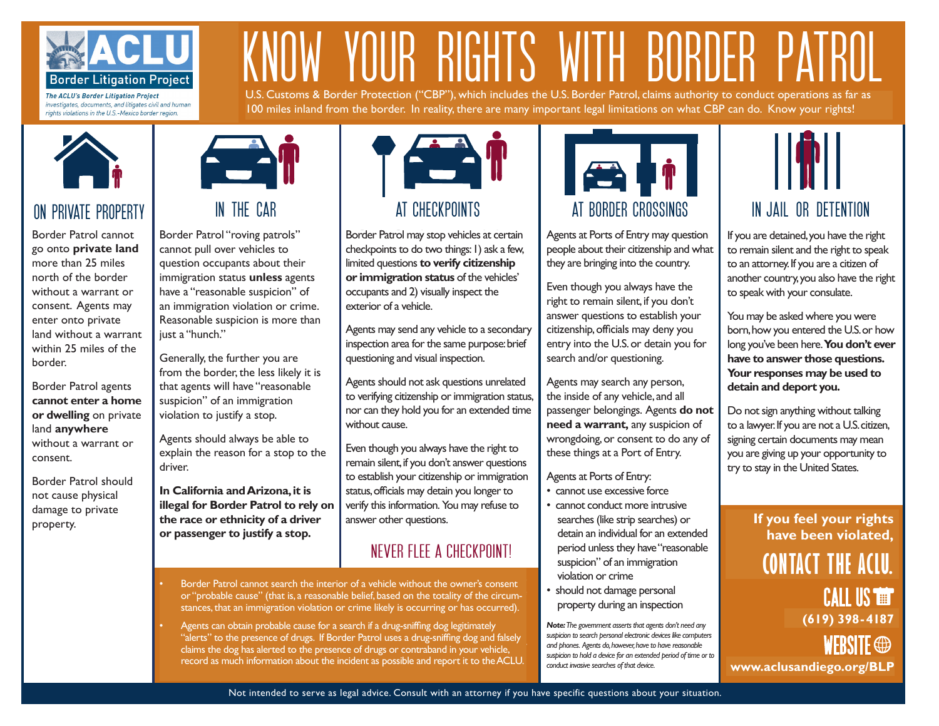

The ACLU's Border Litigation Project investigates, documents, and litigates civil and human rights violations in the U.S.-Mexico border region.

# KNOW YOUR RIGHTS WITH BORDER PATROL

U.S. Customs & Border Protection ("CBP"), which includes the U.S. Border Patrol, claims authority to conduct operations as far as 100 miles inland from the border. In reality, there are many important legal limitations on what CBP can do. Know your rights!



### on private property

Border Patrol cannot Border Patrol cannot go onto private land go onto **private land** more than 25 miles more than 25 miles north of the border without a warrant or without a warrant or consent. Agents may consent. Agents may enter onto private enter onto private land without a land without a warrant within 25 miles of the border.

However, Border **cannot enter a home or dwelling** on private enter a home or land **anywhere**  $\frac{1}{2}$  without a warrant or consent. Border Patrol agents

Border Patrol should damage to private property. not cause physical



Border Patrol "roving patrols" Border Patrol "roving patrols" cannot pull over vehicles to cannot pull over vehicles to question occupants about their question occupants about their immigration status unless agents immigration status **unless** agents have a "reasonable suspicion" of immigration violation or crime. an immigration violation or crime. Reasonable suspicion is more than Reasonable suspicion is more than just a "hunch." just a "hunch."

Generally, the further you are from the border, the less likely it is agents will have "reasonable that agents will have "reasonable suspicion" of an immigration suspicion" of an immigration violation to justify a stop. violation to justify a stop.

Agents should always be able to Agents should always be able to explain the reason for a stop to the explain the reason for a stop to the driver. driver.

In California and Arizona, it is **illegal for Border Patrol to rely on ethnicity of a driver or the race or ethnicity of a driver passenger to justify a stop., or passenger to justify a stop.**



Border Patrol may stop vehicles at Border Patrol may stop vehicles at certain checkpoints to do two things: I) ask a few, limited questions to verify citizenship or immigration status of the vehicles' occupants and (2) visually inspect occupants and 2) visually inspect the exterior of a vehicle.

Agents may send any vehicle to a Agents may send any vehicle to a secondary inspection area for the same purpose: brief questioning and visual inspection. and visual inspection.

to verifying citizenship or immigration status, nor can they hold you for an extended time without cause. Agents should not ask questions unrelated

remain silent, if you don't answer questions to establish your citizenship or immigration status, officials may detain you longer to verify this information. You may refuse to answer other questions. immigration status. Even though you always have the right to

#### NEVER FLEE A CHECKPOINT!

- Border Patrol cannot search the interior of a vehicle without the owner's • Border Patrol cannot search the interior of a vehicle without the owner's consent consent or "probable cause" (a reasonable belief, based on the or "probable cause" (that is, a reasonable belief, based on the totality of the circumstances, that an immigration violation or crime likely is occurring or has occurred).
- Agents can obtain probable cause for a search if a drug-sniffing dog • Agents can obtain probable cause for a search if a drug-sniffing dog legitimately alerts" to the presence of drugs. If Border Patrol uses a drug-sniffing dog and falsely" claims the dog has alerted to the presence of drugs or contraband in your vehicle, record as much information about the incident as possible and report it to the ACLU.



Agents at Ports of Entry may question people about their citizenship and what copio as sub anoni analanismpiana minat they are bringing into the country.

Even though you always have the Even though you always have the right to remain silent, if you don't right to remain silent, if you don't answer questions to establish your answer questions to establish your  $\frac{1}{2}$ citizenship, officials may deny you entry into the U.S. or detain you for Agents may search any person, the search and/or questioning.

Agents may search any person, the inside of any vehicle, and all  $n \in \mathbb{N}$  any venicle, and an passenger belongings. Agents **do not** need a warrant, any suspicion of  $\frac{1}{2}$  hese things at a Port of Entry. these things at a Port of Entry. wrongdoing, or consent to do any of

Agents at Ports of Entry:

- cannot use excessive force
- cannot conduct more intrusive detain an individual for an extended period unless they have "reasonable" suspicion" of an immigration violation or crime searches (like strip searches) or
- should not damage personal property during an inspection

**Note:** The government asserts that agents don't need any **roce:** The government asset is and agents domenced any suspicion to search personal electronic devices like computers *and phones. Agents do, however, have to have reasonable suspicion to hold a device for an extended period of time or to conduct invasive searches of that device.* 



If you are detained, you have the If you are detained,you have the right to remain silent and the right to speak to an attorney. If you are a citizen of another country, you also have the right to speak with your consulate. consulate.

born, how you entered the U.S. or how long you've been here. You don't ever have to answer those questions. **Your responses may be used to** part would be a set of the set of the set of the set of the set of the set of the set of the set of the set of<br>Internal behavior and the set of the set of the set of the set of the set of the set of the set of the set of detain and deport you.<br>———————————————————— You may be asked where you were

to a lawyer. If you are not a U.S. citizen, signing certain documents may mean you are giving up your opportunity to  $\frac{d}{dt}$  try to stay in the United States.  $\mathcal{V}$  is the static try to stay to stay to stay the static try to stay that  $\mathcal{V}$ Do not sign anything without talking

#### If you feel your rights **If you feel your rights** have been violated, **have been violated, contact the aclu. CONTACT THE ACLU.** CALL US **the** WERSITE  $\oplus$ **(602) 650-1854 www.acluaz.org (619) 398-4187www.aclusandiego.org/BLP**

Not intended to serve as legal advice. Consult with an attorney if you have specific questions about your situation.